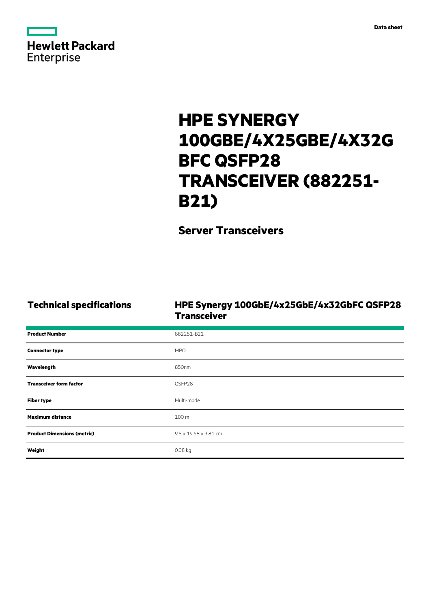| <b>Hewlett Packard</b> |  |  |
|------------------------|--|--|
| <b>Enterprise</b>      |  |  |

# **HPE SYNERGY 100GBE/4X25GBE/4X32G BFC QSFP28 TRANSCEIVER (882251- B21)**

**Server Transceivers**

## **Technical specifications HPE Synergy 100GbE/4x25GbE/4x32GbFC QSFP28 Transceiver**

| <b>Product Number</b>              | 882251-B21            |
|------------------------------------|-----------------------|
| <b>Connector type</b>              | <b>MPO</b>            |
| Wavelength                         | 850nm                 |
| <b>Transceiver form factor</b>     | QSFP28                |
| <b>Fiber type</b>                  | Multi-mode            |
| <b>Maximum distance</b>            | 100 m                 |
| <b>Product Dimensions (metric)</b> | 9.5 x 19.68 x 3.81 cm |
| Weight                             | 0.08 kg               |